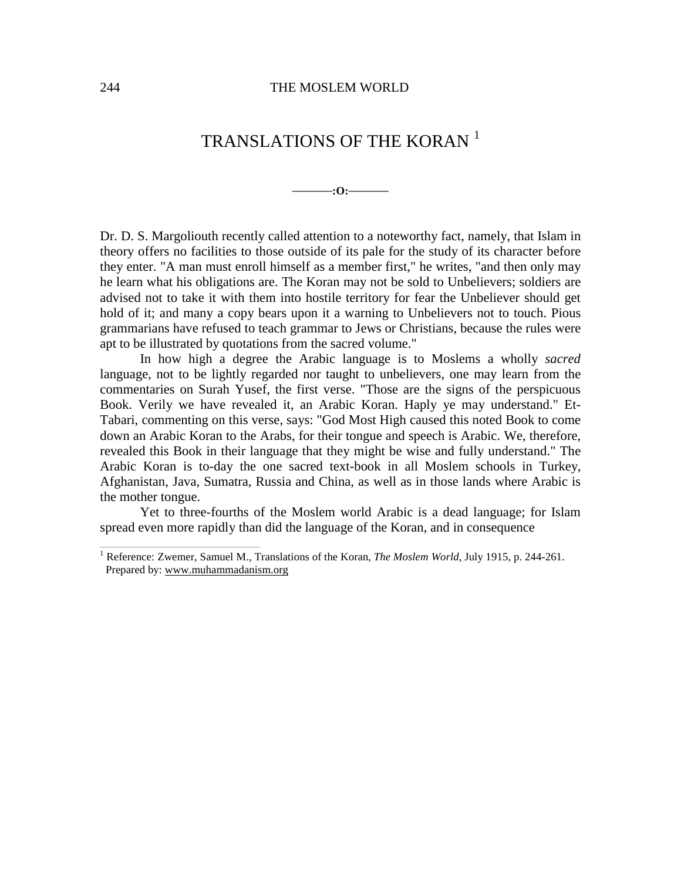# TRANSLATIONS OF THE KORAN<sup>1</sup>

———**:O:**———

Dr. D. S. Margoliouth recently called attention to a noteworthy fact, namely, that Islam in theory offers no facilities to those outside of its pale for the study of its character before they enter. "A man must enroll himself as a member first," he writes, "and then only may he learn what his obligations are. The Koran may not be sold to Unbelievers; soldiers are advised not to take it with them into hostile territory for fear the Unbeliever should get hold of it; and many a copy bears upon it a warning to Unbelievers not to touch. Pious grammarians have refused to teach grammar to Jews or Christians, because the rules were apt to be illustrated by quotations from the sacred volume."

In how high a degree the Arabic language is to Moslems a wholly *sacred*  language, not to be lightly regarded nor taught to unbelievers, one may learn from the commentaries on Surah Yusef, the first verse. "Those are the signs of the perspicuous Book. Verily we have revealed it, an Arabic Koran. Haply ye may understand." Et-Tabari, commenting on this verse, says: "God Most High caused this noted Book to come down an Arabic Koran to the Arabs, for their tongue and speech is Arabic. We, therefore, revealed this Book in their language that they might be wise and fully understand." The Arabic Koran is to-day the one sacred text-book in all Moslem schools in Turkey, Afghanistan, Java, Sumatra, Russia and China, as well as in those lands where Arabic is the mother tongue.

Yet to three-fourths of the Moslem world Arabic is a dead language; for Islam spread even more rapidly than did the language of the Koran, and in consequence

<sup>&</sup>lt;sup>1</sup> [Reference: Zwemer, Samuel M., Translations of the Koran,](http://www.muhammadanism.org/default.htm) *The Moslem World*, July 1915, p. 244-261. Prepared by: www.muhammadanism.org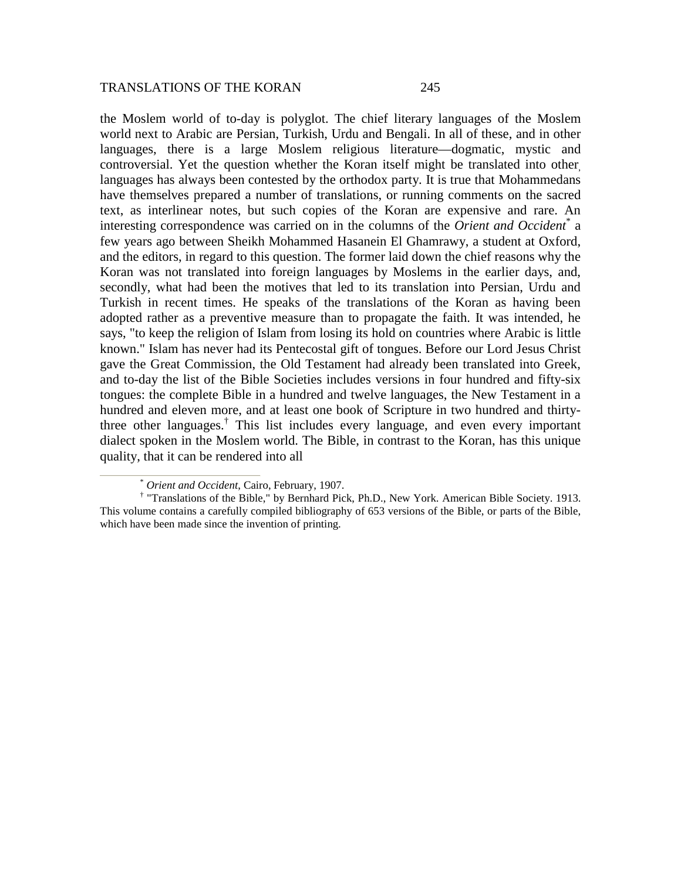the Moslem world of to-day is polyglot. The chief literary languages of the Moslem world next to Arabic are Persian, Turkish, Urdu and Bengali. In all of these, and in other languages, there is a large Moslem religious literature—dogmatic, mystic and controversial. Yet the question whether the Koran itself might be translated into other, languages has always been contested by the orthodox party. It is true that Mohammedans have themselves prepared a number of translations, or running comments on the sacred text, as interlinear notes, but such copies of the Koran are expensive and rare. An interesting correspondence was carried on in the columns of the *Orient and Occident*\* a few years ago between Sheikh Mohammed Hasanein El Ghamrawy, a student at Oxford, and the editors, in regard to this question. The former laid down the chief reasons why the Koran was not translated into foreign languages by Moslems in the earlier days, and, secondly, what had been the motives that led to its translation into Persian, Urdu and Turkish in recent times. He speaks of the translations of the Koran as having been adopted rather as a preventive measure than to propagate the faith. It was intended, he says, "to keep the religion of Islam from losing its hold on countries where Arabic is little known." Islam has never had its Pentecostal gift of tongues. Before our Lord Jesus Christ gave the Great Commission, the Old Testament had already been translated into Greek, and to-day the list of the Bible Societies includes versions in four hundred and fifty-six tongues: the complete Bible in a hundred and twelve languages, the New Testament in a hundred and eleven more, and at least one book of Scripture in two hundred and thirtythree other languages.† This list includes every language, and even every important dialect spoken in the Moslem world. The Bible, in contrast to the Koran, has this unique quality, that it can be rendered into all

<sup>\*</sup> *Orient and Occident*, Cairo, February, 1907.

<sup>†</sup> "Translations of the Bible," by Bernhard Pick, Ph.D., New York. American Bible Society. 1913. This volume contains a carefully compiled bibliography of 653 versions of the Bible, or parts of the Bible, which have been made since the invention of printing.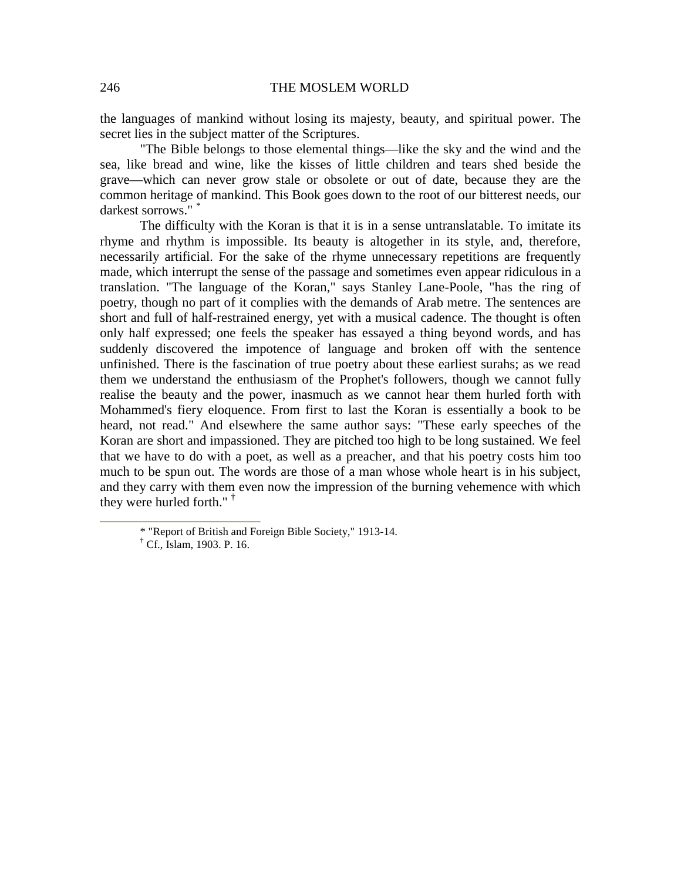the languages of mankind without losing its majesty, beauty, and spiritual power. The secret lies in the subject matter of the Scriptures.

"The Bible belongs to those elemental things—like the sky and the wind and the sea, like bread and wine, like the kisses of little children and tears shed beside the grave—which can never grow stale or obsolete or out of date, because they are the common heritage of mankind. This Book goes down to the root of our bitterest needs, our darkest sorrows."

The difficulty with the Koran is that it is in a sense untranslatable. To imitate its rhyme and rhythm is impossible. Its beauty is altogether in its style, and, therefore, necessarily artificial. For the sake of the rhyme unnecessary repetitions are frequently made, which interrupt the sense of the passage and sometimes even appear ridiculous in a translation. "The language of the Koran," says Stanley Lane-Poole, "has the ring of poetry, though no part of it complies with the demands of Arab metre. The sentences are short and full of half-restrained energy, yet with a musical cadence. The thought is often only half expressed; one feels the speaker has essayed a thing beyond words, and has suddenly discovered the impotence of language and broken off with the sentence unfinished. There is the fascination of true poetry about these earliest surahs; as we read them we understand the enthusiasm of the Prophet's followers, though we cannot fully realise the beauty and the power, inasmuch as we cannot hear them hurled forth with Mohammed's fiery eloquence. From first to last the Koran is essentially a book to be heard, not read." And elsewhere the same author says: "These early speeches of the Koran are short and impassioned. They are pitched too high to be long sustained. We feel that we have to do with a poet, as well as a preacher, and that his poetry costs him too much to be spun out. The words are those of a man whose whole heart is in his subject, and they carry with them even now the impression of the burning vehemence with which they were hurled forth."  $\dagger$ 

<sup>\* &</sup>quot;Report of British and Foreign Bible Society," 1913-14.

<sup>†</sup> Cf., Islam, 1903. P. 16.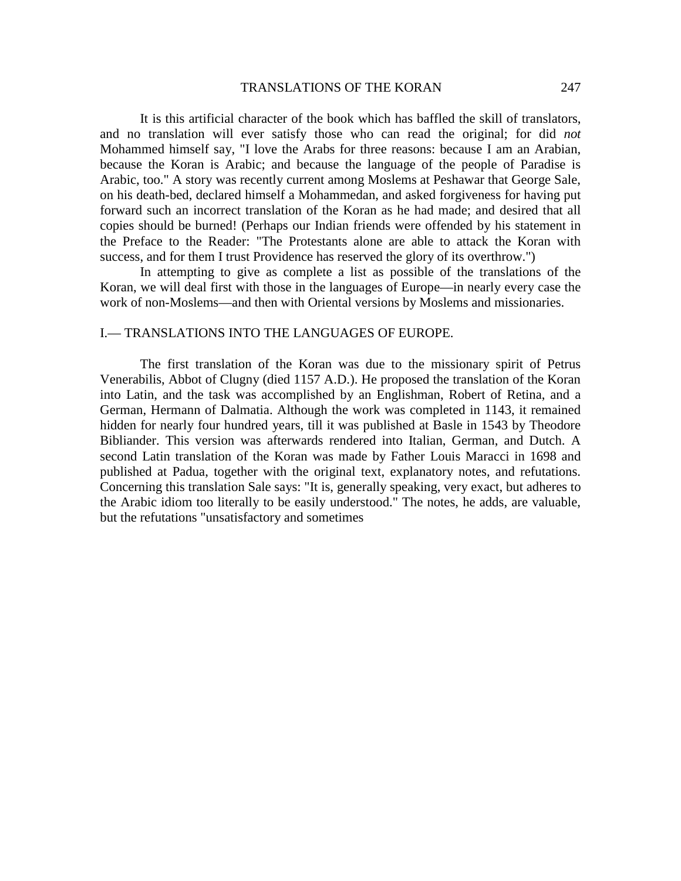It is this artificial character of the book which has baffled the skill of translators, and no translation will ever satisfy those who can read the original; for did *not*  Mohammed himself say, "I love the Arabs for three reasons: because I am an Arabian, because the Koran is Arabic; and because the language of the people of Paradise is Arabic, too." A story was recently current among Moslems at Peshawar that George Sale, on his death-bed, declared himself a Mohammedan, and asked forgiveness for having put forward such an incorrect translation of the Koran as he had made; and desired that all copies should be burned! (Perhaps our Indian friends were offended by his statement in the Preface to the Reader: "The Protestants alone are able to attack the Koran with success, and for them I trust Providence has reserved the glory of its overthrow.")

In attempting to give as complete a list as possible of the translations of the Koran, we will deal first with those in the languages of Europe—in nearly every case the work of non-Moslems—and then with Oriental versions by Moslems and missionaries.

# I.— TRANSLATIONS INTO THE LANGUAGES OF EUROPE.

The first translation of the Koran was due to the missionary spirit of Petrus Venerabilis, Abbot of Clugny (died 1157 A.D.). He proposed the translation of the Koran into Latin, and the task was accomplished by an Englishman, Robert of Retina, and a German, Hermann of Dalmatia. Although the work was completed in 1143, it remained hidden for nearly four hundred years, till it was published at Basle in 1543 by Theodore Bibliander. This version was afterwards rendered into Italian, German, and Dutch. A second Latin translation of the Koran was made by Father Louis Maracci in 1698 and published at Padua, together with the original text, explanatory notes, and refutations. Concerning this translation Sale says: "It is, generally speaking, very exact, but adheres to the Arabic idiom too literally to be easily understood." The notes, he adds, are valuable, but the refutations "unsatisfactory and sometimes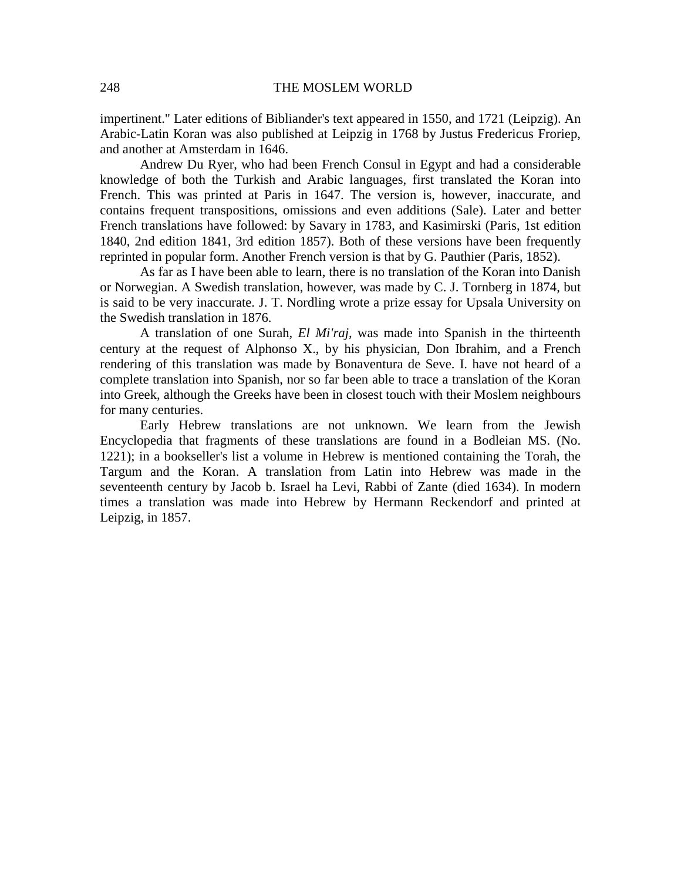impertinent." Later editions of Bibliander's text appeared in 1550, and 1721 (Leipzig). An Arabic-Latin Koran was also published at Leipzig in 1768 by Justus Fredericus Froriep, and another at Amsterdam in 1646.

Andrew Du Ryer, who had been French Consul in Egypt and had a considerable knowledge of both the Turkish and Arabic languages, first translated the Koran into French. This was printed at Paris in 1647. The version is, however, inaccurate, and contains frequent transpositions, omissions and even additions (Sale). Later and better French translations have followed: by Savary in 1783, and Kasimirski (Paris, 1st edition 1840, 2nd edition 1841, 3rd edition 1857). Both of these versions have been frequently reprinted in popular form. Another French version is that by G. Pauthier (Paris, 1852).

As far as I have been able to learn, there is no translation of the Koran into Danish or Norwegian. A Swedish translation, however, was made by C. J. Tornberg in 1874, but is said to be very inaccurate. J. T. Nordling wrote a prize essay for Upsala University on the Swedish translation in 1876.

A translation of one Surah, *El Mi'raj,* was made into Spanish in the thirteenth century at the request of Alphonso X., by his physician, Don Ibrahim, and a French rendering of this translation was made by Bonaventura de Seve. I. have not heard of a complete translation into Spanish, nor so far been able to trace a translation of the Koran into Greek, although the Greeks have been in closest touch with their Moslem neighbours for many centuries.

Early Hebrew translations are not unknown. We learn from the Jewish Encyclopedia that fragments of these translations are found in a Bodleian MS. (No. 1221); in a bookseller's list a volume in Hebrew is mentioned containing the Torah, the Targum and the Koran. A translation from Latin into Hebrew was made in the seventeenth century by Jacob b. Israel ha Levi, Rabbi of Zante (died 1634). In modern times a translation was made into Hebrew by Hermann Reckendorf and printed at Leipzig, in 1857.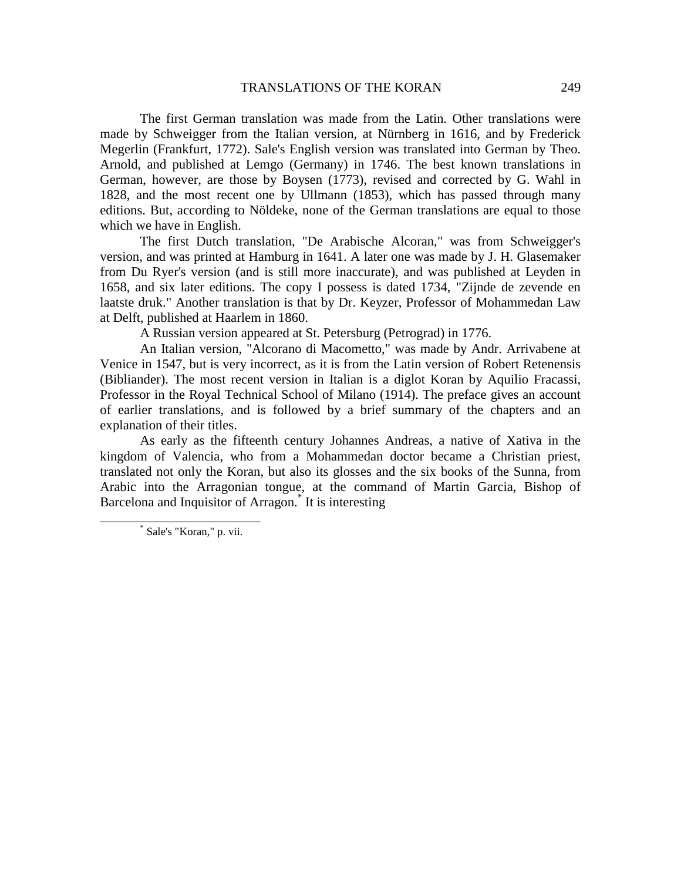The first German translation was made from the Latin. Other translations were made by Schweigger from the Italian version, at Nürnberg in 1616, and by Frederick Megerlin (Frankfurt, 1772). Sale's English version was translated into German by Theo. Arnold, and published at Lemgo (Germany) in 1746. The best known translations in German, however, are those by Boysen (1773), revised and corrected by G. Wahl in 1828, and the most recent one by Ullmann (1853), which has passed through many editions. But, according to Nöldeke, none of the German translations are equal to those which we have in English.

The first Dutch translation, "De Arabische Alcoran," was from Schweigger's version, and was printed at Hamburg in 1641. A later one was made by J. H. Glasemaker from Du Ryer's version (and is still more inaccurate), and was published at Leyden in 1658, and six later editions. The copy I possess is dated 1734, "Zijnde de zevende en laatste druk." Another translation is that by Dr. Keyzer, Professor of Mohammedan Law at Delft, published at Haarlem in 1860.

A Russian version appeared at St. Petersburg (Petrograd) in 1776.

An Italian version, "Alcorano di Macometto," was made by Andr. Arrivabene at Venice in 1547, but is very incorrect, as it is from the Latin version of Robert Retenensis (Bibliander). The most recent version in Italian is a diglot Koran by Aquilio Fracassi, Professor in the Royal Technical School of Milano (1914). The preface gives an account of earlier translations, and is followed by a brief summary of the chapters and an explanation of their titles.

As early as the fifteenth century Johannes Andreas, a native of Xativa in the kingdom of Valencia, who from a Mohammedan doctor became a Christian priest, translated not only the Koran, but also its glosses and the six books of the Sunna, from Arabic into the Arragonian tongue, at the command of Martin Garcia, Bishop of Barcelona and Inquisitor of Arragon.\* It is interesting

\* Sale's "Koran," p. vii.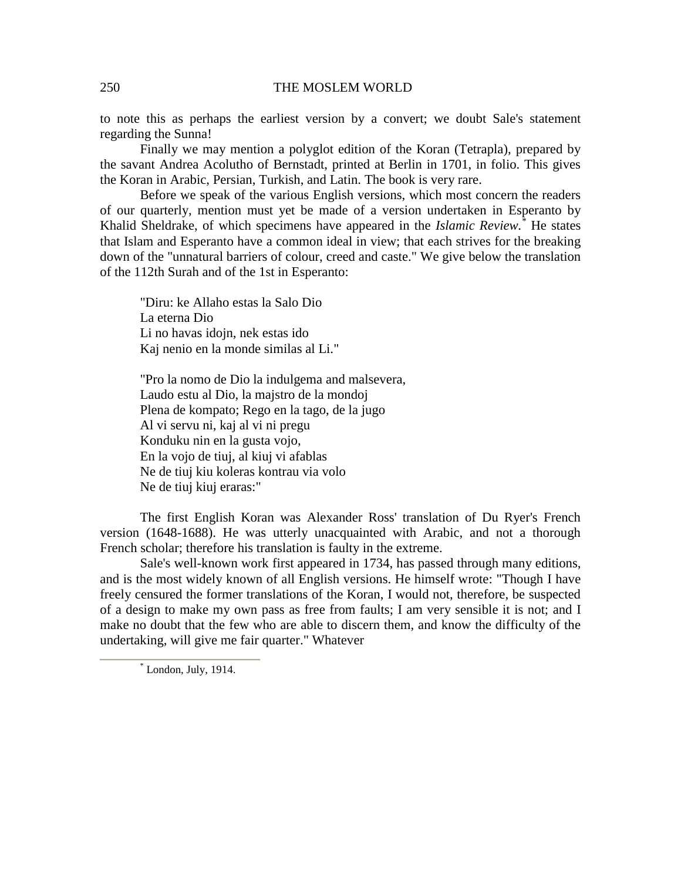to note this as perhaps the earliest version by a convert; we doubt Sale's statement regarding the Sunna!

Finally we may mention a polyglot edition of the Koran (Tetrapla), prepared by the savant Andrea Acolutho of Bernstadt, printed at Berlin in 1701, in folio. This gives the Koran in Arabic, Persian, Turkish, and Latin. The book is very rare.

Before we speak of the various English versions, which most concern the readers of our quarterly, mention must yet be made of a version undertaken in Esperanto by Khalid Sheldrake, of which specimens have appeared in the *Islamic Review.\** He states that Islam and Esperanto have a common ideal in view; that each strives for the breaking down of the "unnatural barriers of colour, creed and caste." We give below the translation of the 112th Surah and of the 1st in Esperanto:

"Diru: ke Allaho estas la Salo Dio La eterna Dio Li no havas idojn, nek estas ido Kaj nenio en la monde similas al Li."

"Pro la nomo de Dio la indulgema and malsevera, Laudo estu al Dio, la majstro de la mondoj Plena de kompato; Rego en la tago, de la jugo Al vi servu ni, kaj al vi ni pregu Konduku nin en la gusta vojo, En la vojo de tiuj, al kiuj vi afablas Ne de tiuj kiu koleras kontrau via volo Ne de tiuj kiuj eraras:"

The first English Koran was Alexander Ross' translation of Du Ryer's French version (1648-1688). He was utterly unacquainted with Arabic, and not a thorough French scholar; therefore his translation is faulty in the extreme.

Sale's well-known work first appeared in 1734, has passed through many editions, and is the most widely known of all English versions. He himself wrote: "Though I have freely censured the former translations of the Koran, I would not, therefore, be suspected of a design to make my own pass as free from faults; I am very sensible it is not; and I make no doubt that the few who are able to discern them, and know the difficulty of the undertaking, will give me fair quarter." Whatever

\* London, July, 1914.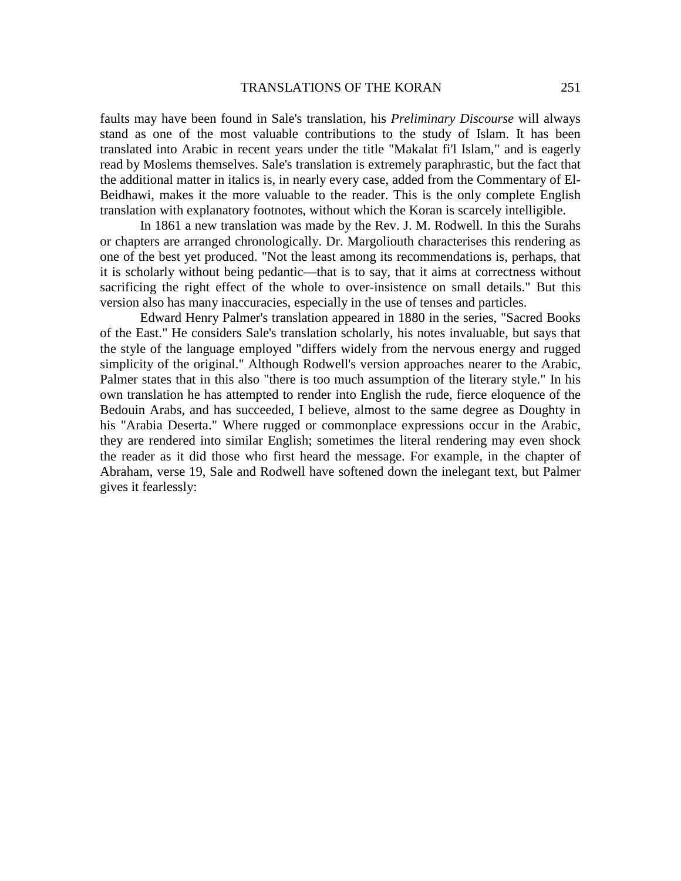faults may have been found in Sale's translation, his *Preliminary Discourse* will always stand as one of the most valuable contributions to the study of Islam. It has been translated into Arabic in recent years under the title "Makalat fi'l Islam," and is eagerly read by Moslems themselves. Sale's translation is extremely paraphrastic, but the fact that the additional matter in italics is, in nearly every case, added from the Commentary of El-Beidhawi, makes it the more valuable to the reader. This is the only complete English translation with explanatory footnotes, without which the Koran is scarcely intelligible.

In 1861 a new translation was made by the Rev. J. M. Rodwell. In this the Surahs or chapters are arranged chronologically. Dr. Margoliouth characterises this rendering as one of the best yet produced. "Not the least among its recommendations is, perhaps, that it is scholarly without being pedantic—that is to say, that it aims at correctness without sacrificing the right effect of the whole to over-insistence on small details." But this version also has many inaccuracies, especially in the use of tenses and particles.

Edward Henry Palmer's translation appeared in 1880 in the series, "Sacred Books of the East." He considers Sale's translation scholarly, his notes invaluable, but says that the style of the language employed "differs widely from the nervous energy and rugged simplicity of the original." Although Rodwell's version approaches nearer to the Arabic, Palmer states that in this also "there is too much assumption of the literary style." In his own translation he has attempted to render into English the rude, fierce eloquence of the Bedouin Arabs, and has succeeded, I believe, almost to the same degree as Doughty in his "Arabia Deserta." Where rugged or commonplace expressions occur in the Arabic, they are rendered into similar English; sometimes the literal rendering may even shock the reader as it did those who first heard the message. For example, in the chapter of Abraham, verse 19, Sale and Rodwell have softened down the inelegant text, but Palmer gives it fearlessly: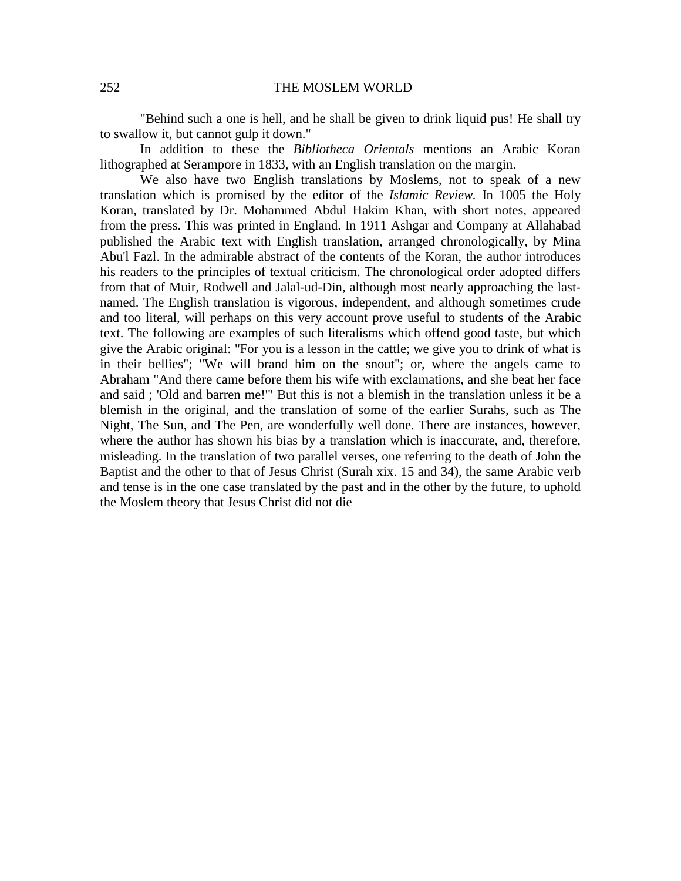"Behind such a one is hell, and he shall be given to drink liquid pus! He shall try to swallow it, but cannot gulp it down."

In addition to these the *Bibliotheca Orientals* mentions an Arabic Koran lithographed at Serampore in 1833, with an English translation on the margin.

We also have two English translations by Moslems, not to speak of a new translation which is promised by the editor of the *Islamic Review.* In 1005 the Holy Koran, translated by Dr. Mohammed Abdul Hakim Khan, with short notes, appeared from the press. This was printed in England. In 1911 Ashgar and Company at Allahabad published the Arabic text with English translation, arranged chronologically, by Mina Abu'l Fazl. In the admirable abstract of the contents of the Koran, the author introduces his readers to the principles of textual criticism. The chronological order adopted differs from that of Muir, Rodwell and Jalal-ud-Din, although most nearly approaching the lastnamed. The English translation is vigorous, independent, and although sometimes crude and too literal, will perhaps on this very account prove useful to students of the Arabic text. The following are examples of such literalisms which offend good taste, but which give the Arabic original: "For you is a lesson in the cattle; we give you to drink of what is in their bellies"; "We will brand him on the snout"; or, where the angels came to Abraham "And there came before them his wife with exclamations, and she beat her face and said ; 'Old and barren me!'" But this is not a blemish in the translation unless it be a blemish in the original, and the translation of some of the earlier Surahs, such as The Night, The Sun, and The Pen, are wonderfully well done. There are instances, however, where the author has shown his bias by a translation which is inaccurate, and, therefore, misleading. In the translation of two parallel verses, one referring to the death of John the Baptist and the other to that of Jesus Christ (Surah xix. 15 and 34), the same Arabic verb and tense is in the one case translated by the past and in the other by the future, to uphold the Moslem theory that Jesus Christ did not die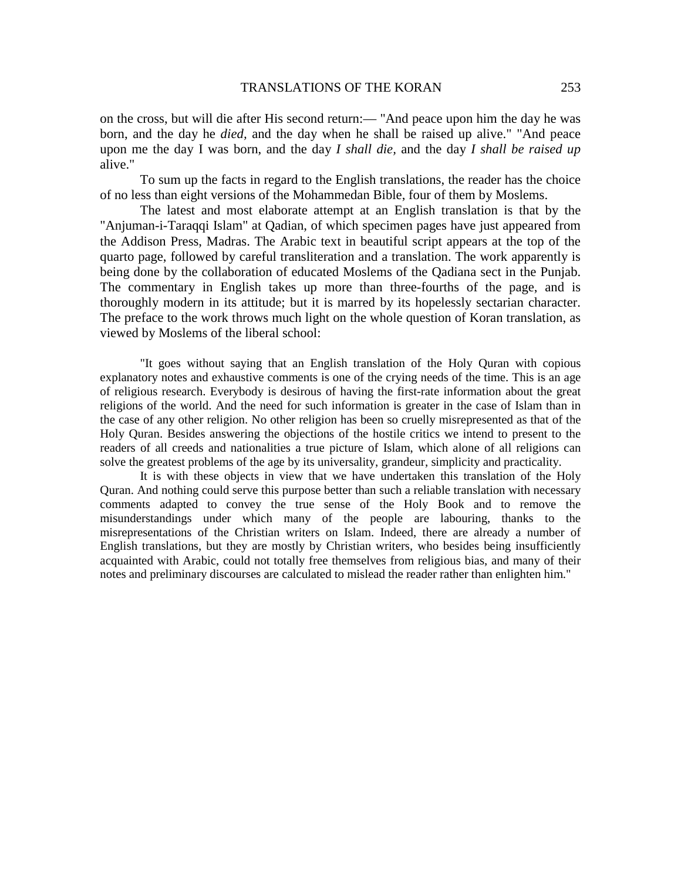on the cross, but will die after His second return:— "And peace upon him the day he was born, and the day he *died,* and the day when he shall be raised up alive." "And peace upon me the day I was born, and the day *I shall die,* and the day *I shall be raised up*  alive."

To sum up the facts in regard to the English translations, the reader has the choice of no less than eight versions of the Mohammedan Bible, four of them by Moslems.

The latest and most elaborate attempt at an English translation is that by the "Anjuman-i-Taraqqi Islam" at Qadian, of which specimen pages have just appeared from the Addison Press, Madras. The Arabic text in beautiful script appears at the top of the quarto page, followed by careful transliteration and a translation. The work apparently is being done by the collaboration of educated Moslems of the Qadiana sect in the Punjab. The commentary in English takes up more than three-fourths of the page, and is thoroughly modern in its attitude; but it is marred by its hopelessly sectarian character. The preface to the work throws much light on the whole question of Koran translation, as viewed by Moslems of the liberal school:

"It goes without saying that an English translation of the Holy Quran with copious explanatory notes and exhaustive comments is one of the crying needs of the time. This is an age of religious research. Everybody is desirous of having the first-rate information about the great religions of the world. And the need for such information is greater in the case of Islam than in the case of any other religion. No other religion has been so cruelly misrepresented as that of the Holy Quran. Besides answering the objections of the hostile critics we intend to present to the readers of all creeds and nationalities a true picture of Islam, which alone of all religions can solve the greatest problems of the age by its universality, grandeur, simplicity and practicality.

It is with these objects in view that we have undertaken this translation of the Holy Quran. And nothing could serve this purpose better than such a reliable translation with necessary comments adapted to convey the true sense of the Holy Book and to remove the misunderstandings under which many of the people are labouring, thanks to the misrepresentations of the Christian writers on Islam. Indeed, there are already a number of English translations, but they are mostly by Christian writers, who besides being insufficiently acquainted with Arabic, could not totally free themselves from religious bias, and many of their notes and preliminary discourses are calculated to mislead the reader rather than enlighten him."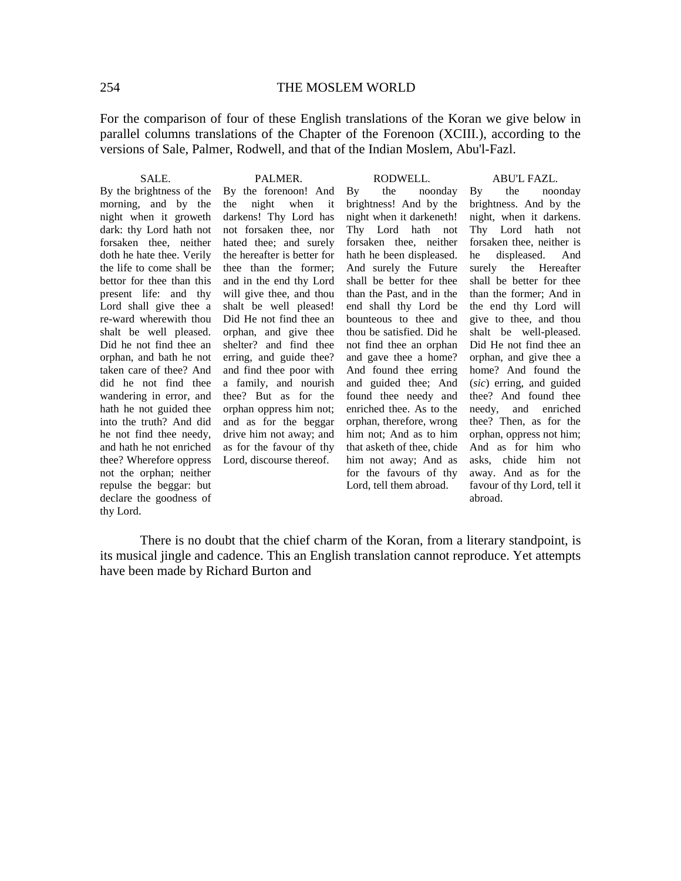For the comparison of four of these English translations of the Koran we give below in parallel columns translations of the Chapter of the Forenoon (XCIII.), according to the versions of Sale, Palmer, Rodwell, and that of the Indian Moslem, Abu'l-Fazl.

By the brightness of the morning, and by the night when it groweth dark: thy Lord hath not forsaken thee, neither doth he hate thee. Verily the life to come shall be bettor for thee than this present life: and thy Lord shall give thee a re-ward wherewith thou shalt be well pleased. Did he not find thee an orphan, and bath he not taken care of thee? And did he not find thee wandering in error, and hath he not guided thee into the truth? And did he not find thee needy, and hath he not enriched thee? Wherefore oppress not the orphan; neither repulse the beggar: but declare the goodness of thy Lord.

By the forenoon! And the night when it darkens! Thy Lord has not forsaken thee, nor hated thee; and surely the hereafter is better for thee than the former; and in the end thy Lord will give thee, and thou shalt be well pleased! Did He not find thee an orphan, and give thee shelter? and find thee erring, and guide thee? and find thee poor with a family, and nourish thee? But as for the orphan oppress him not; and as for the beggar drive him not away; and as for the favour of thy Lord, discourse thereof.

By the noonday brightness! And by the night when it darkeneth! Thy Lord hath not forsaken thee, neither hath he been displeased. And surely the Future shall be better for thee than the Past, and in the end shall thy Lord be bounteous to thee and thou be satisfied. Did he not find thee an orphan and gave thee a home? And found thee erring and guided thee; And found thee needy and enriched thee. As to the orphan, therefore, wrong him not; And as to him that asketh of thee, chide him not away; And as for the favours of thy Lord, tell them abroad.

### SALE. PALMER. RODWELL. ABU'L FAZL.

By the noonday brightness. And by the night, when it darkens. Thy Lord hath not forsaken thee, neither is he displeased. And surely the Hereafter shall be better for thee than the former; And in the end thy Lord will give to thee, and thou shalt be well-pleased. Did He not find thee an orphan, and give thee a home? And found the (*sic*) erring, and guided thee? And found thee needy, and enriched thee? Then, as for the orphan, oppress not him; And as for him who asks, chide him not away. And as for the favour of thy Lord, tell it abroad.

There is no doubt that the chief charm of the Koran, from a literary standpoint, is its musical jingle and cadence. This an English translation cannot reproduce. Yet attempts have been made by Richard Burton and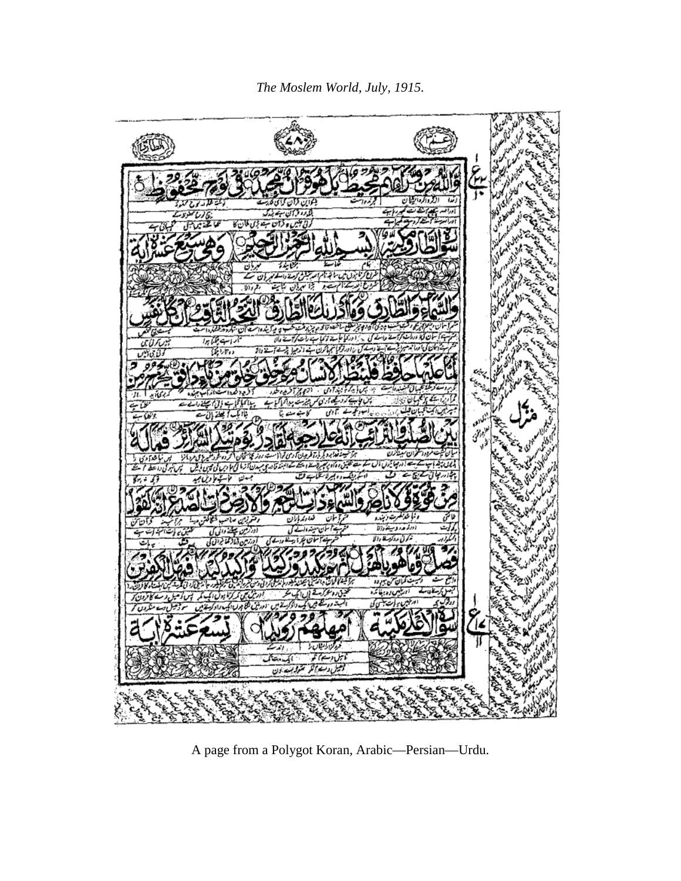

A page from a Polygot Koran, Arabic—Persian—Urdu.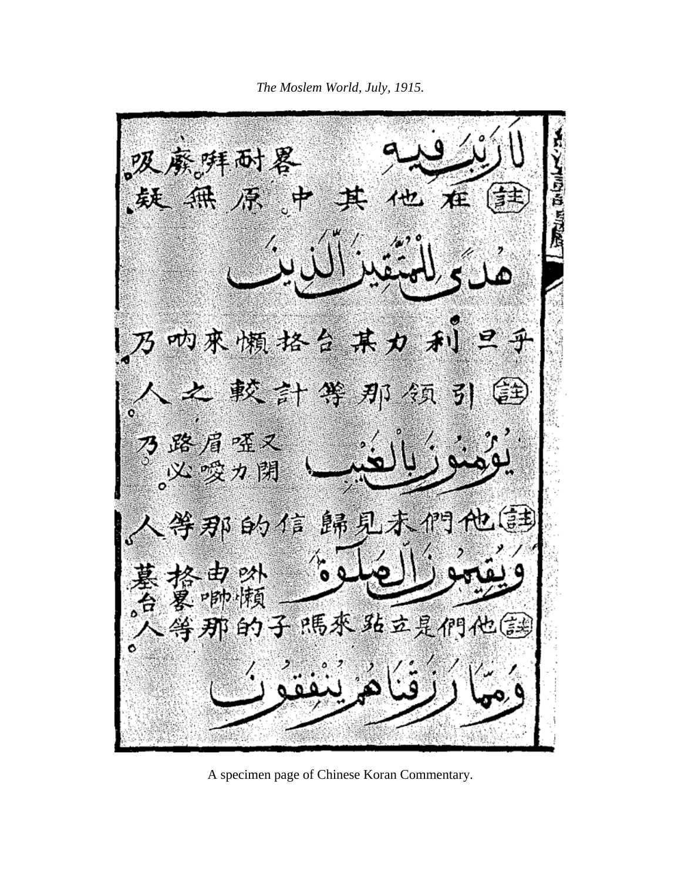*The Moslem World, July, 1915.* 

双摩拜耐器 人人  $\overline{n}_{\rm diff}$  and  $\overline{n}_{\rm eff}$ 乃呐来懒抬台其力利旦乎 之較計等那領別 乃路眉哑又 路眉强又<br>必啜为開, 人等那的信鼎見未們他(語 لموة لا # # # 那的子膝来站立是們他国

A specimen page of Chinese Koran Commentary.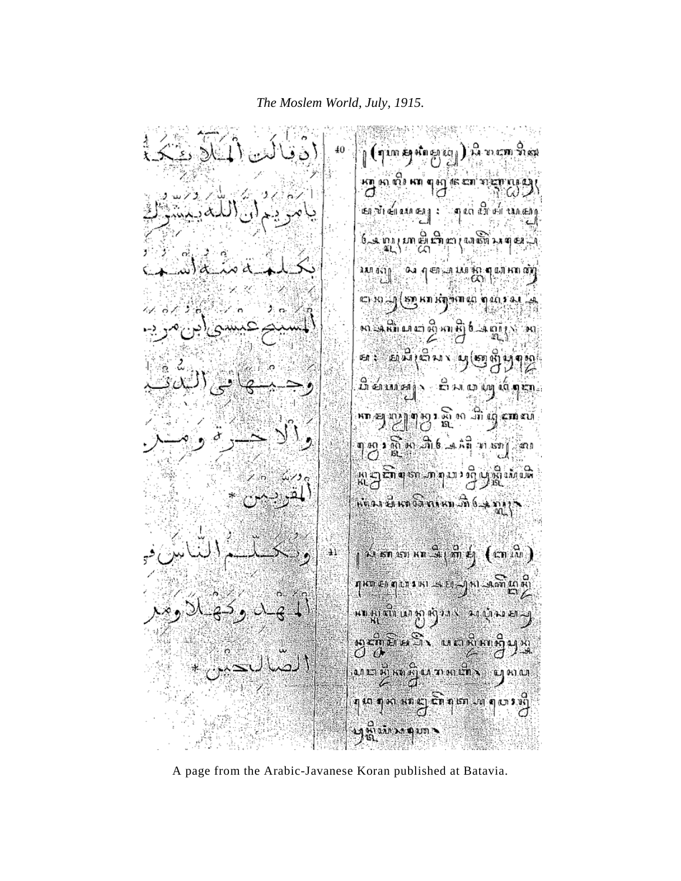

A page from the Arabic-Javanese Koran published at Batavia.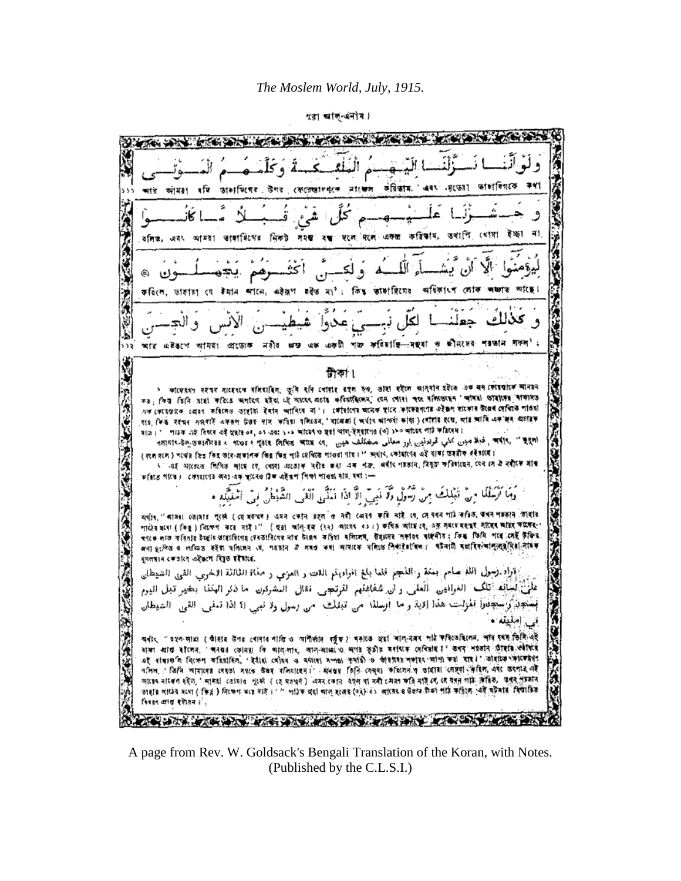প্রা আল্ এনীম।

 $163.25 - 1$ ومنازعته **They ship** ভাষালিক 骨化玻璃 व्हिशाम, अवर  $-50.751$ दवि স্তাঞ্চামিংগৰ উপয ংস্করোগধ্যে খার আমেৰ Î こんない 人の にっぽ ż ই ছা Пĺ ক্ষ্মিকাম, তথাশি খোগা বলিও, এবং আনহা ভাষায়িগের নিকট স্থত বৰ ায়্লে রিনে একড 计分类学 ائ ⊛ وإبن কিত ভাষাৰিসের অধিকাংশ বোক অফাত আছে। 罗伯特克 ≹म¦न আনে, এইয়াপ र देख ভাহায়া যে করিলে, کد নহীয় অন্ত এফ একটী শুক্ত স্বিভাছি--- সম্বা ও জীনদের শরভান সকল<sup>্</sup>  $\rightarrow$ 'আগার এইস্কুপে অ'মিরা প্র'ডোক 建筑 টীকা ৷ > কাদেরগণ হস্বাধ নাহেয়াক বলিবাছিল, তুমি যদি বোরাই হস্ত হও, তাহা হইলে আগ্রান হইতে এক মন কেয়েয়াকে নানান 法法定决定法律法律法律法律法律法 कब्र , जिस हिंदि आशा करिएड अनारेश पहेंचा पर अध्यय बढ़ाई कडियांकितम, राम राम नाम बलिए अपना जानावा जानावा बाकामक এর কেতেরাকে তরতে করিসেও তাহায় ইয়ান আদিবে বা '। কৌরাণের অনেক হাবে কারেছগায়ে এইজন বাংসার উল্লেখ বেবিতে পাওয়া याः कियं श्याम गर्भगरे अकल डेस्ट पार अदिश प्रकारक, 'शास्त्रशां चर्यार बाल्का कविः) (बारात इत्य, बार जाति अक्कल यात्रतक .<br>যাত্ৰা '' পাঠক এই বিষয়ে এই হয়াত্ৰকা, ৩১ এবং ১০১ আমেৰ ও ছয়া আৰু ইস্ত্ৰাণের (৩) ১৮০ আমেৰ পাঠ করিবেদ। ৰ্গানাৎ-উজ্ভেলানীয়ের ২ পতের শৃত্তাহ লিখিস্ত আছে বে, <sub>তেওঁ</sub> ১ এগ্রে কর্মা<sub>ত পূৰ্ব দ্বাৰা দুর্শাপন " ছুর্গা</sub> ( গলে গলে) শংস্বর হিছ ভিন্ন গুরু-প্রস্কৃতির ভিন্ন পাঠ পেথিতে পাওরা গাছ। '' অর্থাং, কোরাণের এই সাকা তহরীক এই গাছ। २ - -२२ : या(४२७ लिथित आंदर दि, ८चारा : अटकाम 'नरीड सना अस नक्ष, अवीर नक्रद्राल, विद्युत कविषारक्षण, देख दन से नरीट सांस তরিতে গগৈয়। কোয়াগের অন্য এফ স্থাবেও টিক এইয়াপ শিক্ষা পাওয়া যায়, যথা :-.<br>وَمِمَا ٱلْعَلَّمْنَا ۚ مِنْ تَبْلِكَ مِنْ لِّسُوْلٍ وَّلَا نَبِيٍّ إِلَّا لَا نَعَلَّنِى ٱلْقَبَى الشَّبْطُنُ مِنْ বর্গং, "আসনা তোষার পূর্বে ( হে হরগং ) এমন ওলান রহল ও নবী ওপরণ করি নাই গে, সে গব্ব পাঠ করিত তথন পরতান তাহায় गार्थिक प्रशा (किन्नु) जिल्ला करव नाई।" ( एजा आगु-इस (२२) अरेडर ८३ ( ) कविठ आदि रहे, उन्हे मसड मर्श्वर मोरेस अस्तिक्री चनार नाठ वस्तिरे रेखांड आशामिताव त्वरजानित्वर नाथ अंतम बनिश बनियन, सेशमास अकांवर बारंगोड : जिस सिनी भाव राष्ट्रे सेकिस अना g: लिउ व अधिक रहेशा पनिःसम . यं, गडकान जो मयत कथा आयादक पनिःख निवारेशक्ति । पहेलाणि पत्नारितः अमिन्तिहरिहा नामक সুসলস্বাৰ কেডাংস এইজন্মে বিবুত হইষাতে, وْرِإِدِ رَسِيلِ اللَّهِ صِاحِمٍ بِمُنْكَةٍ وَالنَّعْجِمُ فَلَمَّةً بَلَّغٍ اقْرَاديتُم لِلانت و العزي ر صفاة المثالثة الاخرى القيئ الشيطان عَلَمْنَ بَسِبَانِه اتِمَكِ ۚ العَرافيس الْعَلَى و آن هَفَاعِقَهُمْ القرنجي نقال العَشرةون ما ذكر البقفا بعثمير تبل اليوم 大学 ひとき かんめい مَسْتَجِبَةً بِمُوسِّجَةٍ وَأَعْمَلِونِ صَفَّالَ اللهِ وَ مَا أَوْسِلْهُا ۚ مَنْ تَبْتَلُكَ ۚ مَنْ رسول ولا نَبِي ادْ اذَا تَعَفَى القَبَى الْمُتَعَطِّلَى 的法最容器 অৰ্থং "সংক্ৰমান ( উাহাৰ উপৰ ৰেণেৰ পাতি ও আশীৰ্জাদ বৰ্ষুত ) শহাতে হয়া আক্ৰমৰ পাই সৰিতেছিলেন, পাৰ হয়দ ভিনি এই ৰাষা থাৱ হাসেন, 'পনৱৰ ভোনয় কি আব্দোহ, আল-আহোত অপৰ তৃতীয় মনথিক সেবিয়াহ?' অগন শহতান জাহায় ওৰাগতে 4१ वादासणि दिश्कम वदिशक्ति, 'देशेशः श्वीदय ७ वशाला मण्डा कुमारी ७ अशिरत मनादर जाता करा राह। कोशी अभिनिक्षेत्र গগৈস, ' তিনি আয়াৰের বেষতা সংগত উভয় ৰসিবাহেন।' অনন্ত ' গুড়ি সন্ময় কমিদেন'ও ওহোৱা 'বেছলা-'জয়িত, এইং ওৎপাত এই আছেৎ নালেৰ হইত, ' আৰম তোমাত পূংষ্ঠ ( হে মতশুদী) এসম কোৱা হগুল বা নৰী শেষত কৰি ৰাই ৰে, যে বগুন পাঠ কৰিত, ' তুৰুৰ পুচতান ij তাহার পাঠের মধ্যে ( কিব্ল ) নিকেণ খয়ে নাই। ' " পাঠক প্রহা আলু হয়ের (২২) বচল আর. ও উতাহ জীবা পাঠ করিকে এই মটমার বিষয়েরিত विवदन अध्य इंदेशन । **LEASE CONTRACTOR AND** THE REPORT OF THE REPORT OF THE REAL

A page from Rev. W. Goldsack's Bengali Translation of the Koran, with Notes. (Published by the C.L.S.I.)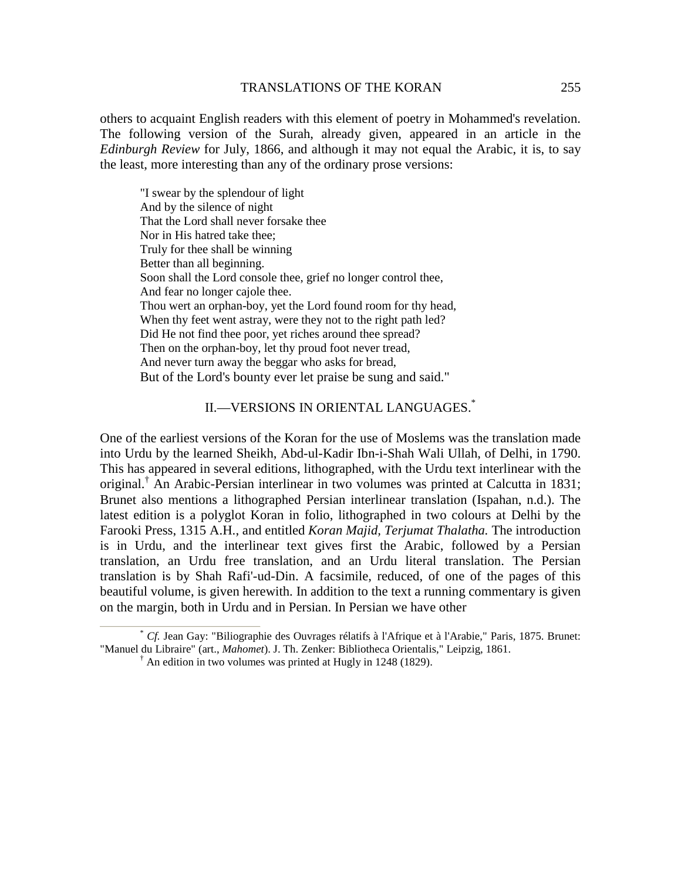others to acquaint English readers with this element of poetry in Mohammed's revelation. The following version of the Surah, already given, appeared in an article in the *Edinburgh Review* for July, 1866, and although it may not equal the Arabic, it is, to say the least, more interesting than any of the ordinary prose versions:

"I swear by the splendour of light And by the silence of night That the Lord shall never forsake thee Nor in His hatred take thee; Truly for thee shall be winning Better than all beginning. Soon shall the Lord console thee, grief no longer control thee, And fear no longer cajole thee. Thou wert an orphan-boy, yet the Lord found room for thy head, When thy feet went astray, were they not to the right path led? Did He not find thee poor, yet riches around thee spread? Then on the orphan-boy, let thy proud foot never tread, And never turn away the beggar who asks for bread, But of the Lord's bounty ever let praise be sung and said."

# II.—VERSIONS IN ORIENTAL LANGUAGES.<sup>\*</sup>

One of the earliest versions of the Koran for the use of Moslems was the translation made into Urdu by the learned Sheikh, Abd-ul-Kadir Ibn-i-Shah Wali Ullah, of Delhi, in 1790. This has appeared in several editions, lithographed, with the Urdu text interlinear with the original.† An Arabic-Persian interlinear in two volumes was printed at Calcutta in 1831; Brunet also mentions a lithographed Persian interlinear translation (Ispahan, n.d.). The latest edition is a polyglot Koran in folio, lithographed in two colours at Delhi by the Farooki Press, 1315 A.H., and entitled *Koran Majid, Terjumat Thalatha.* The introduction is in Urdu, and the interlinear text gives first the Arabic, followed by a Persian translation, an Urdu free translation, and an Urdu literal translation. The Persian translation is by Shah Rafi'-ud-Din. A facsimile, reduced, of one of the pages of this beautiful volume, is given herewith. In addition to the text a running commentary is given on the margin, both in Urdu and in Persian. In Persian we have other

<sup>\*</sup> *Cf.* Jean Gay: "Biliographie des Ouvrages rélatifs à l'Afrique et à l'Arabie," Paris, 1875. Brunet: "Manuel du Libraire" (art., *Mahomet*). J. Th. Zenker: Bibliotheca Orientalis," Leipzig, 1861.

<sup>†</sup> An edition in two volumes was printed at Hugly in 1248 (1829).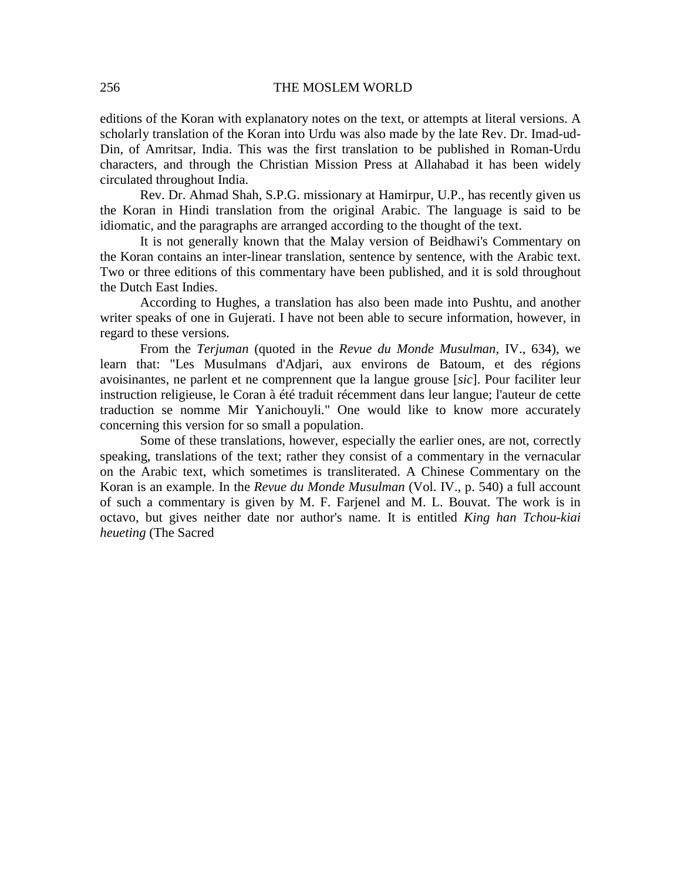editions of the Koran with explanatory notes on the text, or attempts at literal versions. A scholarly translation of the Koran into Urdu was also made by the late Rev. Dr. Imad-ud-Din, of Amritsar, India. This was the first translation to be published in Roman-Urdu characters, and through the Christian Mission Press at Allahabad it has been widely circulated throughout India.

Rev. Dr. Ahmad Shah, S.P.G. missionary at Hamirpur, U.P., has recently given us the Koran in Hindi translation from the original Arabic. The language is said to be idiomatic, and the paragraphs are arranged according to the thought of the text.

It is not generally known that the Malay version of Beidhawi's Commentary on the Koran contains an inter-linear translation, sentence by sentence, with the Arabic text. Two or three editions of this commentary have been published, and it is sold throughout the Dutch East Indies.

According to Hughes, a translation has also been made into Pushtu, and another writer speaks of one in Gujerati. I have not been able to secure information, however, in regard to these versions.

From the *Terjuman* (quoted in the *Revue du Monde Musulman,* IV., 634), we learn that: "Les Musulmans d'Adjari, aux environs de Batoum, et des régions avoisinantes, ne parlent et ne comprennent que la langue grouse [*sic*]. Pour faciliter leur instruction religieuse, le Coran à été traduit récemment dans leur langue; l'auteur de cette traduction se nomme Mir Yanichouyli." One would like to know more accurately concerning this version for so small a population.

Some of these translations, however, especially the earlier ones, are not, correctly speaking, translations of the text; rather they consist of a commentary in the vernacular on the Arabic text, which sometimes is transliterated. A Chinese Commentary on the Koran is an example. In the *Revue du Monde Musulman* (Vol. IV., p. 540) a full account of such a commentary is given by M. F. Farjenel and M. L. Bouvat. The work is in octavo, but gives neither date nor author's name. It is entitled *King han Tchou-kiai heueting* (The Sacred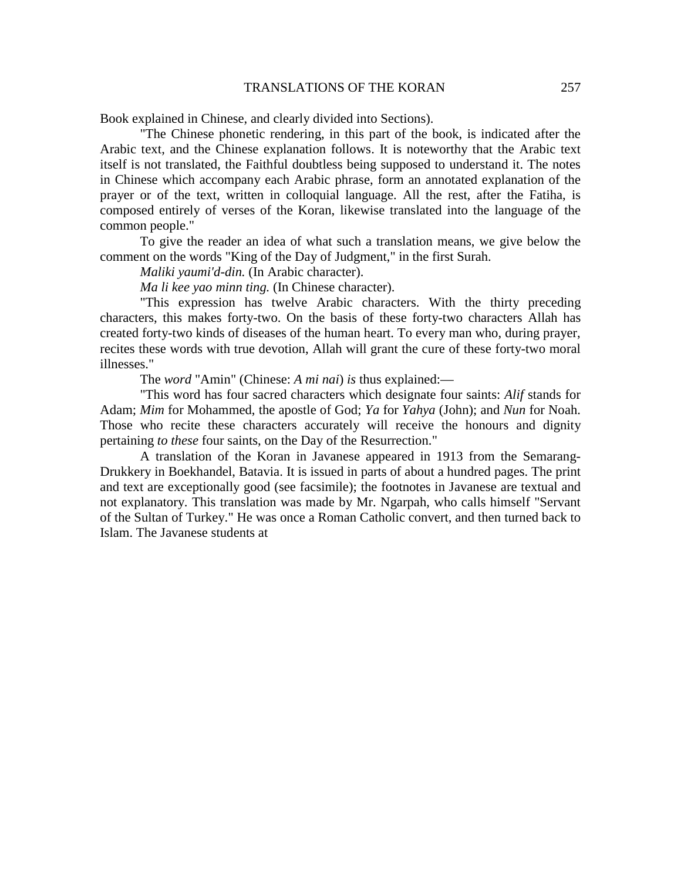Book explained in Chinese, and clearly divided into Sections).

"The Chinese phonetic rendering, in this part of the book, is indicated after the Arabic text, and the Chinese explanation follows. It is noteworthy that the Arabic text itself is not translated, the Faithful doubtless being supposed to understand it. The notes in Chinese which accompany each Arabic phrase, form an annotated explanation of the prayer or of the text, written in colloquial language. All the rest, after the Fatiha, is composed entirely of verses of the Koran, likewise translated into the language of the common people."

To give the reader an idea of what such a translation means, we give below the comment on the words "King of the Day of Judgment," in the first Surah.

*Maliki yaumi'd-din.* (In Arabic character).

*Ma li kee yao minn ting.* (In Chinese character).

"This expression has twelve Arabic characters. With the thirty preceding characters, this makes forty-two. On the basis of these forty-two characters Allah has created forty-two kinds of diseases of the human heart. To every man who, during prayer, recites these words with true devotion, Allah will grant the cure of these forty-two moral illnesses."

The *word* "Amin" (Chinese: *A mi nai*) *is* thus explained:—

"This word has four sacred characters which designate four saints: *Alif* stands for Adam; *Mim* for Mohammed, the apostle of God; *Ya* for *Yahya* (John); and *Nun* for Noah. Those who recite these characters accurately will receive the honours and dignity pertaining *to these* four saints, on the Day of the Resurrection."

A translation of the Koran in Javanese appeared in 1913 from the Semarang-Drukkery in Boekhandel, Batavia. It is issued in parts of about a hundred pages. The print and text are exceptionally good (see facsimile); the footnotes in Javanese are textual and not explanatory. This translation was made by Mr. Ngarpah, who calls himself "Servant of the Sultan of Turkey." He was once a Roman Catholic convert, and then turned back to Islam. The Javanese students at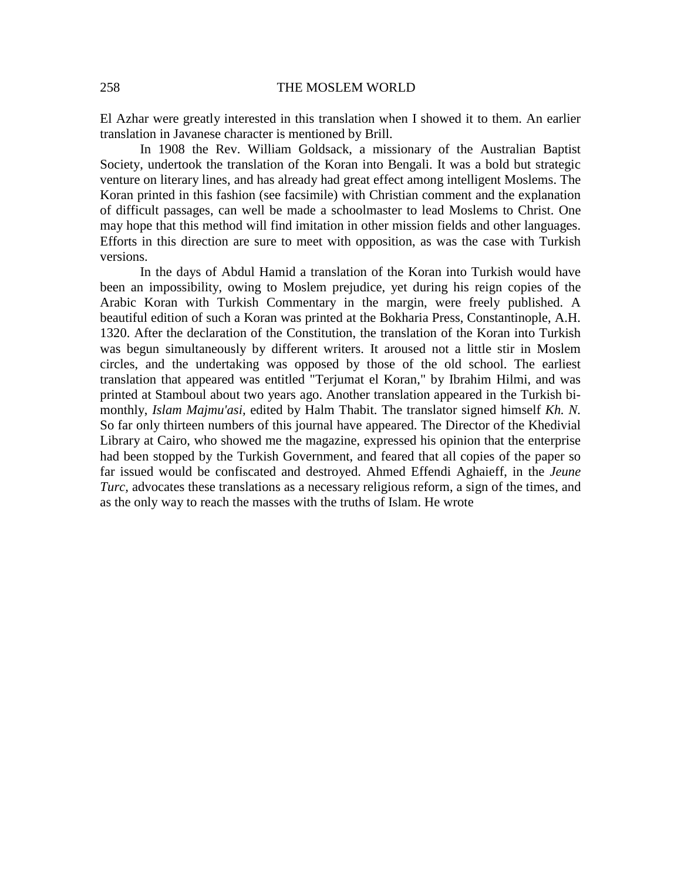El Azhar were greatly interested in this translation when I showed it to them. An earlier translation in Javanese character is mentioned by Brill.

In 1908 the Rev. William Goldsack, a missionary of the Australian Baptist Society, undertook the translation of the Koran into Bengali. It was a bold but strategic venture on literary lines, and has already had great effect among intelligent Moslems. The Koran printed in this fashion (see facsimile) with Christian comment and the explanation of difficult passages, can well be made a schoolmaster to lead Moslems to Christ. One may hope that this method will find imitation in other mission fields and other languages. Efforts in this direction are sure to meet with opposition, as was the case with Turkish versions.

In the days of Abdul Hamid a translation of the Koran into Turkish would have been an impossibility, owing to Moslem prejudice, yet during his reign copies of the Arabic Koran with Turkish Commentary in the margin, were freely published. A beautiful edition of such a Koran was printed at the Bokharia Press, Constantinople, A.H. 1320. After the declaration of the Constitution, the translation of the Koran into Turkish was begun simultaneously by different writers. It aroused not a little stir in Moslem circles, and the undertaking was opposed by those of the old school. The earliest translation that appeared was entitled "Terjumat el Koran," by Ibrahim Hilmi, and was printed at Stamboul about two years ago. Another translation appeared in the Turkish bimonthly, *Islam Majmu'asi,* edited by Halm Thabit. The translator signed himself *Kh. N.*  So far only thirteen numbers of this journal have appeared. The Director of the Khedivial Library at Cairo, who showed me the magazine, expressed his opinion that the enterprise had been stopped by the Turkish Government, and feared that all copies of the paper so far issued would be confiscated and destroyed. Ahmed Effendi Aghaieff, in the *Jeune Turc*, advocates these translations as a necessary religious reform, a sign of the times, and as the only way to reach the masses with the truths of Islam. He wrote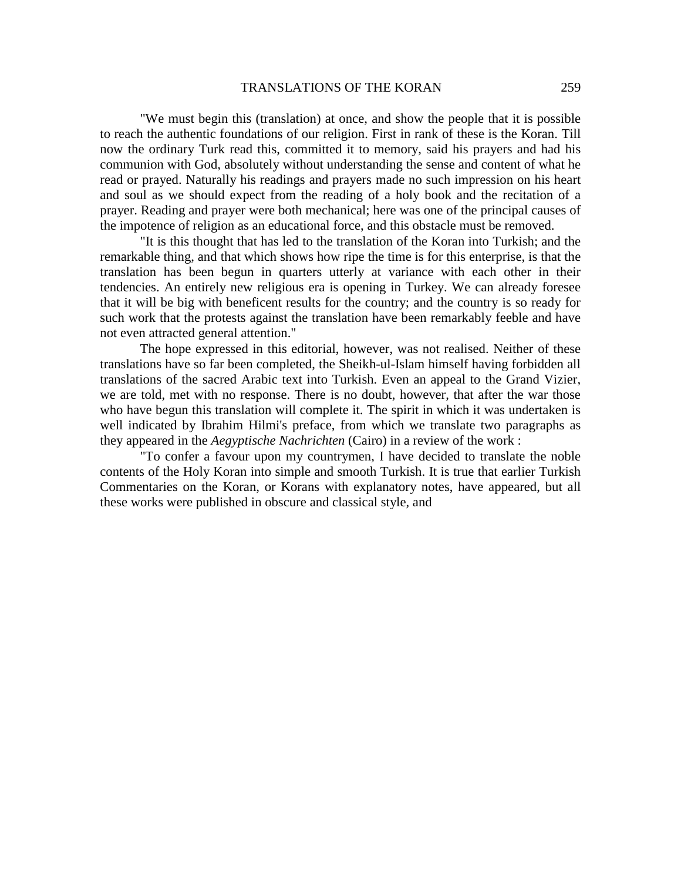"We must begin this (translation) at once, and show the people that it is possible to reach the authentic foundations of our religion. First in rank of these is the Koran. Till now the ordinary Turk read this, committed it to memory, said his prayers and had his communion with God, absolutely without understanding the sense and content of what he read or prayed. Naturally his readings and prayers made no such impression on his heart and soul as we should expect from the reading of a holy book and the recitation of a prayer. Reading and prayer were both mechanical; here was one of the principal causes of the impotence of religion as an educational force, and this obstacle must be removed.

"It is this thought that has led to the translation of the Koran into Turkish; and the remarkable thing, and that which shows how ripe the time is for this enterprise, is that the translation has been begun in quarters utterly at variance with each other in their tendencies. An entirely new religious era is opening in Turkey. We can already foresee that it will be big with beneficent results for the country; and the country is so ready for such work that the protests against the translation have been remarkably feeble and have not even attracted general attention."

The hope expressed in this editorial, however, was not realised. Neither of these translations have so far been completed, the Sheikh-ul-Islam himself having forbidden all translations of the sacred Arabic text into Turkish. Even an appeal to the Grand Vizier, we are told, met with no response. There is no doubt, however, that after the war those who have begun this translation will complete it. The spirit in which it was undertaken is well indicated by Ibrahim Hilmi's preface, from which we translate two paragraphs as they appeared in the *Aegyptische Nachrichten* (Cairo) in a review of the work :

"To confer a favour upon my countrymen, I have decided to translate the noble contents of the Holy Koran into simple and smooth Turkish. It is true that earlier Turkish Commentaries on the Koran, or Korans with explanatory notes, have appeared, but all these works were published in obscure and classical style, and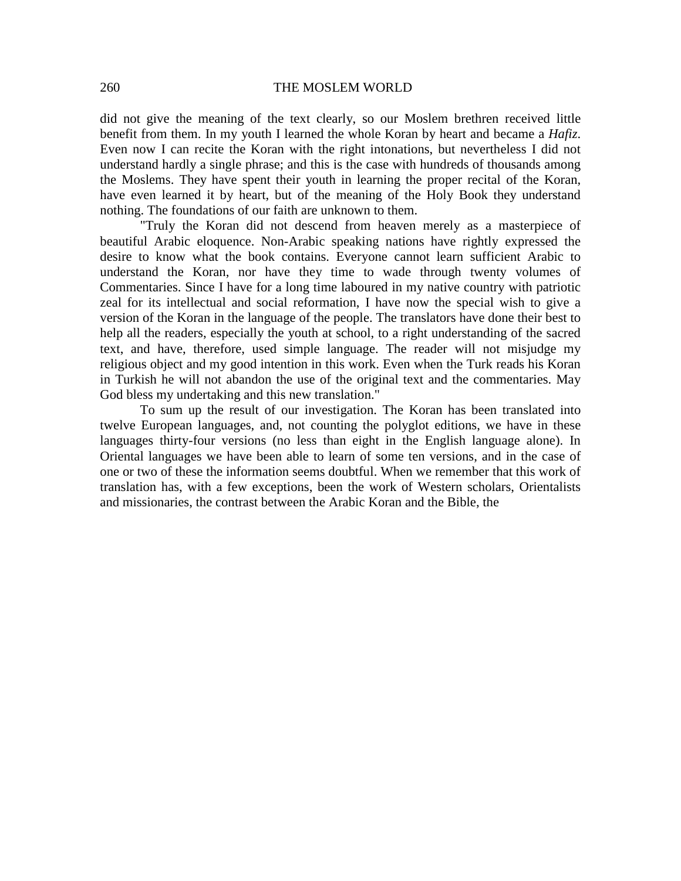did not give the meaning of the text clearly, so our Moslem brethren received little benefit from them. In my youth I learned the whole Koran by heart and became a *Hafiz*. Even now I can recite the Koran with the right intonations, but nevertheless I did not understand hardly a single phrase; and this is the case with hundreds of thousands among the Moslems. They have spent their youth in learning the proper recital of the Koran, have even learned it by heart, but of the meaning of the Holy Book they understand nothing. The foundations of our faith are unknown to them.

"Truly the Koran did not descend from heaven merely as a masterpiece of beautiful Arabic eloquence. Non-Arabic speaking nations have rightly expressed the desire to know what the book contains. Everyone cannot learn sufficient Arabic to understand the Koran, nor have they time to wade through twenty volumes of Commentaries. Since I have for a long time laboured in my native country with patriotic zeal for its intellectual and social reformation, I have now the special wish to give a version of the Koran in the language of the people. The translators have done their best to help all the readers, especially the youth at school, to a right understanding of the sacred text, and have, therefore, used simple language. The reader will not misjudge my religious object and my good intention in this work. Even when the Turk reads his Koran in Turkish he will not abandon the use of the original text and the commentaries. May God bless my undertaking and this new translation."

To sum up the result of our investigation. The Koran has been translated into twelve European languages, and, not counting the polyglot editions, we have in these languages thirty-four versions (no less than eight in the English language alone). In Oriental languages we have been able to learn of some ten versions, and in the case of one or two of these the information seems doubtful. When we remember that this work of translation has, with a few exceptions, been the work of Western scholars, Orientalists and missionaries, the contrast between the Arabic Koran and the Bible, the